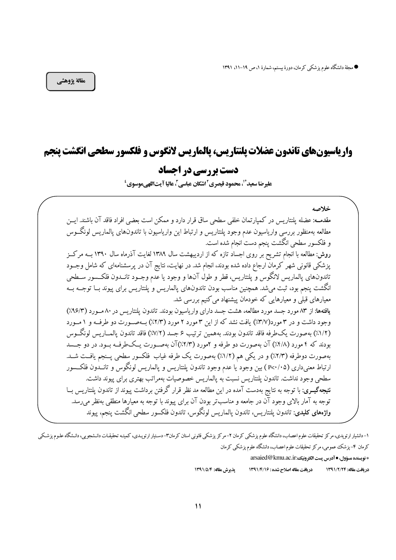# وارياسيونهاي تاندون عضلات يلنتاريس، يالماريس لانگوس و فلكسور سطحي انگشت ينجم

# دست بررسی در احساد

عليرضا سعيد ٌّ ، محمود قيصري ّ اشكان عباسي "، عاليا آيتاللهي موسوى '

خلاصه مقدمــه: عضله يلنتاريس در كميارتمان خلفي سطحي ساق قرار دارد و ممكن است بعضي افراد فاقد آن باشند. ايـــن مطالعه بهمنظور بررسي وارياسيون عدم وجود پلنتاريس و ارتباط اين وارياسيون با تاندونهاي پالماريس لونگــوس و فلكسور سطحي انگشت ينجم دست انجام شده است. روش: مطالعه با انجام تشریح بر روی اجساد تازه که از اردیبهشت سال ۱۳۸۹ لغایت آذرماه سال ۱۳۹۰ بــه مرکـز پزشکی قانونی شهر کرمان ارجاع داده شده بودند، انجام شد. در نهایت، نتایج آن در پرسشنامهای که شامل وجــود تاندونهای پالماریس لانگوس و پلنتاریس، قطر و طول آنها و وجود یا عدم وجــود تانــدون فلکــسور ســطحی انگشت ينجم بود، ثبت مي شد. همچنين مناسب بودن تاندونهاي پالماريس و پلنتاريس براي پيوند بــا توجـــه بـــه معیارهای قبلی و معیارهایی که خودمان پیشنهاد می کنیم بررسی شد. یافتهها: از ۸۳ مورد جسد مورد مطالعه، هشت جسد دارای واریاسبون بودند. تاندون پلنتاریس در ۸۰ مـورد (۹۶/۳٪) وجود داشت و در ۳ مورد(۳/۷٪) یافت نشد که از این ۳ مورد ۲ مورد (۲/۳٪) بهصورت دو طرف و ۱ مورد (١/٢٪) بهصورت يك طرفه فاقد تاندون بودند. بههمين ترتيب ۶ جسد (٧/٢٪) فاقد تاندون يالمساريس لونگــوس بودند که ۴ مورد (۴/۸٪) آن بهصورت دو طرفه و ۲مورد (۲/۳٪)آن بهصورت یــکطرفــه بــود. در دو جـــسد بهصورت دوطرفه (٢/٣٪) و در يكي هم (١/٢٪) بهصورت يك طرفه غياب فلكسور سطحي پــنجم يافــت شــد. ارتباط معنى داري (P<۰/۰۵) بين وجود يا عدم وجود تاندون يلنتاريس و يالماريس لونگوس و تانــدون فلكــسور سطحی وجود نداشت. تاندون پلنتاریس نسبت به پالماریس خصوصیات بهمراتب بهتری برای پیوند داشت. **نتیجهگیــری**: با توجه به نتایج بهدست آمده در این مطالعه مد نظر قرار گرفتن برداشت پیوند از تاندون پلنتاریس بــا توجه به آمار بالای وجود آن در جامعه و مناسبتر بودن آن برای پیوند با توجه به معیارها منطقی بهنظر می رسد. **واژەهای کلیدی**: تاندون پلنتاریس، تاندون پالماریس لونگوس، تاندون فلکسور سطحی انگشت پنجم، ییوند

۱-دانشیار ارتوپدي، مركز تحقیقات علوم اعصاب، دانشگاه علوم پزشكي كرمان ۲- مركز پزشكي قانوني استار ارتشداست است و تحقیقات دانشجويي، دانشگاه علوم پزشكي کرمان ۴– پزشک عمومی، مرکز تحقیقات علوم اعصاب، دانشگاه علوم پزشکی کرمان \* نويسنده مسؤول، • آدرس پست الكترونيك: arsaied@kmu.ac.ir

در بافت مقاله: ۱۳۹۱/۲/۲۴ دريافت مقاله اصلاح شده : ١٣٩١/٤/١٥ يذيرش مقاله: ١٣٩١/٥/٤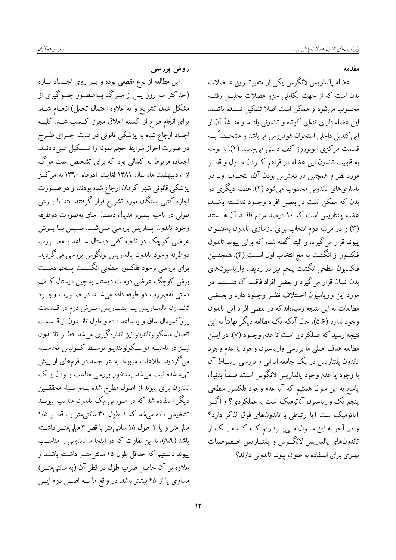مقدمه

عضله پالماریس لانگوس یکی از متغیرتــرین عــضلات بدن است که از جهت تکاملی جزو عضلات تحلیــل رفتــه محسوب میشود و ممکن است اصلا تشکیل نــشده باشــد. این عضله دارای تنهای کوتاه و تاندونی بلنــد و منــشأ آن از ايي كنديل داخلي استخوان هومروس مي باشد و مشخــصاً بــه قسمت مرکزی ایونوروز کف دستی می چسبد (۱). با توجه به قابلیت تاندون این عضله در فراهم کــردن طــول و قطــر مورد نظر و همچنین در دسترس بودن آن، انتخــاب اول در باسازیهای تاندونی محسوب میشود (۲). عضله دیگری در بدن که ممکن است در بعضی افراد وجـود نداشــته باشــد، عضله يلنتاريس است كه ١٠ درصد مردم فاقــد آن هــستند (۳) و در مرتبه دوم انتخاب برای بازسازی تاندون به عنوان پیوند قرار میگیرد، و البته گفته شده که برای پیوند تاندون فلکسور از انگشت به مچ انتخاب اول اســت (۴). همچنــین فلكسيون سطحي انگشت پنجم نيز در رديف وارياسيون&اي بدن انسان قرار می گیرد و بعضی افراد فاقــد آن هــستند. در مورد این واریاسیون اخستلاف نظ و وجسود دارد و بعــضی مطالعات به این نتیجه رسیدهاندکه در بعضی افراد این تاندون وجود ندارد (۵،۶)، حال آنکه یک مطالعه دیگر نهایتاً به این نتیجه رسید که عملکردی است تا عدم وجــود (۷). در ایــن مطالعه هدف اصلي ما بررسي وارياسيون وجود يا عدم وجود تاندون پلنتاریس در یک جامعه ایرانی و بررسی ارتباط آن با وجود يا عدم وجود پالماريس لانگوس است. ضمناً بدنبال ياسخ به اين سوال هستيم كه آيا عدم وجود فلكسور سطحي پنجم یک واریاسیون آناتومیک است یا عملکردی؟ و اگــر آناتومیک است آیا ارتباطی با تاندونهای فوق الذکر دارد؟ و در آخر به این ســوال مــیپــردازیم کــه کــدام یــک از تاندونهای پالماریس لانگــوس و پلنتــاریس خــصوصیات بهتری برای استفاده به عنوان پیوند تاندونی دارند؟

روش بررسی

این مطالعه از نوع مقطعی بوده و بــر روی اجـــساد تـــازه (حداکثر سه روز پس از مــرگ بــهمنظــور جلــوگیری از مشکل شدن تشریح و به علاوه احتمال تحلیل) انجــام شــد. برای انجام طرح از کمیته اخلاق مجوز کــسب شــد. کلیــه اجساد ارجاع شده به پزشکی قانونی در مدت اجــرای طــرح در صورت احراز شرایط حجم نمونه را تــشکیل مــیدادنــد. اجساد، مربوط به کسانی بود که برای تشخیص علت مرگ از اردیبهشت ماه سال ۱۳۸۹ لغایت آذرماه ۱۳۹۰ به مرکز پزشکی قانونی شهر کرمان ارجاع شده بودند، و در صــورت اجازه کتبی بستگان مورد تشریح قرار گرفتند. ابتدا با بــرش طولی در ناحیه پسترو مدیال دیستال ساق بهصورت دوطرفه وجود تاندون پلنتاريس بررسي مـي شــد. ســپس بــا بــرش عرضی کوچک در ناحیه کفی دیستال ســاعد بــهصــورت دوطرفه وجود تاندون پالماريس لونگوس بررسي مي گرديد. برای بررسی وجود فلکسور سطحی انگـــشت پـــنجم دســـت برش کوچک عرضی درست دیستال به چین دیستال کف دستي بهصورت دو طرفه داده مي شـد. در صـورت وجـود تانــدون پالمــاريس يــا پلنتــاريس، بــرش دوم در قــسمت پروکسیمال ساق و یا ساعد داده و طول تانــدون از قــسمت اتصال ماسکولوتاندینو نیز اندازهگیری میشد. قطــر تانــدون نیــز در ناحیــه موســکولوتندینو توســط کــولیس محاســبه می گردید. اطلاعات مربوط به هر جسد در فرمهای از پیش تھیه شده ثبت می،شد. بهمنظور بررسی مناسب بــودن یــک تاندون برای پیوند از اصول مطرح شده بــهوســیله محققـــین دیگر استفاده شد که در صورتی یک تاندون مناسب پیونــد تشخیص داده میشد که ۱. طول ۳۰ سانتی متر بـا قطـر ۱/۵ میلی متر و یا ۲. طول ۱۵ سانتی متر با قطر ۳ میلی متــر داشــته باشد (۸،۹)، با این تفاوت که در اینجا ما تاندونی را مناسب پیوند دانستیم که حداقل طول ۱۵ سانتی متــر داشــته باشــد و علاوه بر آن حاصل ضرب طول در قطر آن (به سانتی متــر) مساوی یا از ۴۵ بیشتر باشد. در واقع ما بــه اصــل دوم ایــن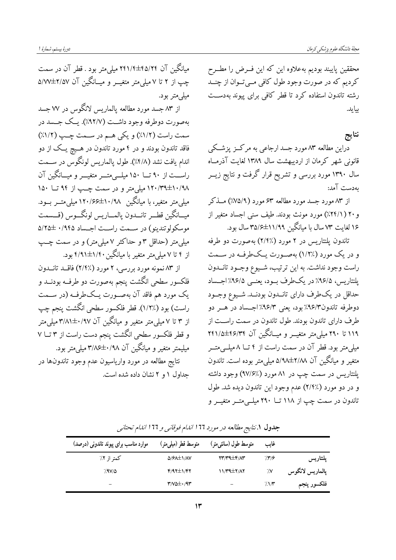محققین پایبند بودیم بهعلاوه این که این فسرض را مطسرح كرديم كه در صورت وجود طول كافي مـيتـوان از چنــد رشته تاندون استفاده كرد تا قطر كافي براي پيوند بهدست ىيايد.

## نتايج

.<br>دراین مطالعه ۸۳ مورد جسد ارجاعی به مرکــز پزشــکی قانونی شهر کرمان از اردیبهشت سال ۱۳۸۹ لغایت آذرمـاه سال ۱۳۹۰ مورد بررسی و تشریح قرار گرفت و نتایج زیــر ىەدست آمد:

از ۸۳ مورد جسد مورد مطالعه ۶۳ مورد (۷۵/۹٪) مــذکر و ۲۰ (۲۴/۱٪) مورد مونث بودند. طيف سني اجساد متغير از ۱۶ لغایت ۷۳ سال با میانگین ۱۱/۹۹±۳۵/۶ سال بود.

تاندون پلنتاریس در ۲ مورد (٪۲/۴) بهصورت دو طرفه و در یک مورد (٪۱/۲) بهصورت یـکطرفـه در ســمت راست وجود نداشت. به این ترتیب، شـیوع وجـود تانــدون پلنتاریس، ۹۶/۵٪ در یکطرف بــود، یعنــی ۹۶/۵٪ اجــساد حداقل در یکطرف دارای تانــدون بودنــد. شــیوع وجــود دوطرفه تاندون۹۶/۳٪ بود، یعنی ۹۶/۳٪ اجـساد در هـر دو طرف دارای تاندون بودند. طول تاندون در سمت راســت از ۱۱۹ تا ۲۹۰ میلی متر متغیـــر و میـــانگین آن ۴۶/۳۴±۲۴۱/۵ میلی متر بود. قطر آن در سمت راست از ۴ تــا ۸ میلــی متـــر متغیر و میانگین آن ۸/۸±۲/۸۸م میلی متر بوده است. تاندون یلنتاریس در سمت چپ در ۸۱ مورد (۹۷/۶٪) وجود داشته و در دو مورد (٪۲/۴) عدم وجود این تاندون دیده شد. طول تاندون در سمت چپ از ۱۱۸ تــا ۲۹۰ میلــی متــر متغیــر و

میانگین آن ۲۴۵/۲۴±۲۱/۴ میلی متر بود . قطر آن در سمت چپ از ۲ تا ۷ میلی متر متغیــر و میــانگین آن ۲/۵۷±۵/۷ میلی متر بود.

از ۸۳ جسد مورد مطالعه پالماریس لانگوس در ۷۷ جسد بهصورت دوطرفه وجود داشت (۹۲/۷٪). یـک جــسد در سمت راست (١/٢٪) و يكي هـم در سـمت چـپ (١/٢٪) فاقد تاندون بودند و در ۴ مورد تاندون در هــیچ پــک از دو اندام يافت نشد (٤/٨٪). طول يالماريس لونگوس در ســمت راســت از ۹۰ تـــا ۱۵۰ میلـــی،متـــر متغیـــر و میـــانگین آن ۱۸/۳۹±۱۰/۹۸ میلی متر و در سمت چـب از ۹۴ تــا ۱۵۰ میلی متر متغیر ، با میانگین ۱۰/۹۸±۱۲۰/۶۶ میلی متــر بــود. ميـــانگين قطـــر تانـــدون يالمــــاريس لونگـــوس (قـــسمت موسکولوتندینو) در سـمت راسـت اجـساد ۵/۲۵±۵/۲۵ میلی متر (حداقل ۳ و حداکثر ۷ میلی متر) و در سمت چـب از ۴ تا ۷ میلم متر متغیر با میانگین ۴/۹۱±۴/۹۱ بود.

از ۸۳ نمونه مورد بررسی، ۲ مورد (٪۲/۴) فاقــد تانــدون فلکسور سطحی انگشت پنجم بهصورت دو طرفــه بودنــد و یک مورد هم فاقد آن بهصورت یـکطرفـه (در ســمت راست) بود (٪۱/۲). قطر فلکسور سطحی انگشت پنجم چپ از ۳ تا ۷ میلی متر متغیر و میانگین آن ۰/۹۷++۳/۸۱ میلی متر و قطر فلکسور سطحی انگشت پنجم دست راست از ۳ تــا ۷ میلیمتر متغیر و میانگین آن ۰/۹۸±۳/۸۶سیلیمتر بود. نتايج مطالعه در مورد وارياسيون عدم وجود تاندونها در حداول ۱ و ۲ نشان داده شده است.

| موارد مناسب برای پیوند تاندونی (درصد) | متوسط قطر (میلمیمتر)                             | متوسط طول (سانتىمتر)                                           | غايب       |                 |
|---------------------------------------|--------------------------------------------------|----------------------------------------------------------------|------------|-----------------|
| کمتر از ۲٪                            | $\Delta$ / $\epsilon$ $\Delta$ $\pm$ $\Lambda$ V | $\mathsf{Y}\mathsf{Y}\mathsf{Y}\mathsf{Y}\mathsf{Y}\mathsf{Y}$ | /19        | پلنتاریس        |
| <b>AV/4</b>                           | $f/97\pm1/57$                                    | $11/44\pm7/17$                                                 | $\gamma$   | پالماريس لانگوس |
| -                                     | $T/N\Delta\pm\cdot$ /9 $T$                       |                                                                | $\sqrt{N}$ | فلكسور پنجم     |

جدول ١.نتايج مطالعه در مورد ١٦٦ اندام فوقانبي و ١٦٦ اندام تحتانبي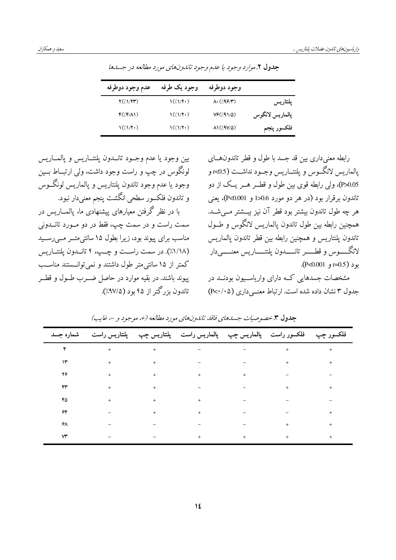|                 | وجود دوطرفه                 | وجود يک طرفه                                                                        | عدم وجود دوطرفه            |
|-----------------|-----------------------------|-------------------------------------------------------------------------------------|----------------------------|
| پلىتارىس        | $\Lambda \cdot (199/1)$     | $\frac{\frac{1}{2}}{\frac{1}{2}}$                                                   | Y(1/YY)                    |
| يالماريس لانگوس | Vf/(91/2)                   | $\frac{\frac{1}{2}(\frac{1}{2}+\frac{1}{2})}{\frac{1}{2}(\frac{1}{2}+\frac{1}{2})}$ | $F(\sqrt{r}/\Lambda)$      |
| فلكسور پنجم     | $\Lambda$ 1(/9V/ $\Delta$ ) | $\frac{\frac{1}{2}}{\frac{1}{2}}$                                                   | $\left(\frac{1}{2}\right)$ |

جدول ٢.موارد وجود يا عدم وجود تاندونهاى مورد مطالعه در جسدها

بين وجود يا عدم وجبود تانسدون پلنتساريس و پالمساريس لونگوس در چپ و راست وجود داشت، ولي ارتبــاط بــين وجود يا عدم وجود تاندون پلنتاريس و پالماريس لونگــوس و تاندون فلكسور سطحي انگشت پنجم معنىدار نبود. با در نظر گرفتن معیارهای پیشنهادی ما، پالمــاریس در سمت راست و در سمت چپ، فقط در دو مــورد تانــدونی مناسب برای پیوند بود، زیرا بطول ۱۵ سانتی متـر مــی رســید (١/١٨٪). در سمت راسـت و چـب، ٤ تانــدون يلنتــاريس کمتر از ۱۵ سانتی متر طول داشتند و نمی توانسستند مناسب

پیوند باشند. در بقیه موارد در حاصل ضــرب طــول و قطــر

تاندون یز گتر از ۴۵ بود (۹۷/۵٪).

رابطه معنى داري بين قد جسد با طول و قطر تاندون هــاي يالماريس لانگوس و يلنتــاريس وجــود نداشــت (0.5×و P>0.05)، ولي رابطه قوى بين طول و قطــر هــر يــك از دو تاندون برقرار بود (در هر دو مورد 2.6<1 و P<0.001)، يعني هر چه طول تاندون بیشتر بود قطر آن نیز بیـــشتر مــیشــد. همچنین رابطه بین طول تاندون پالماریس لانگوس و طــول تاندون يلنتاريس و همچنين رابطه بين قطر تاندون يالماريس لانگـــــوس و قطــــــر تانــــــدون پلنتــــــاريس معنــــــىدار  $(P<0.001, p=0.5)$  بو د ( p<0.001

مشخصات جسدهایی کــه دارای واریاســیون بودنــد در حدول ۳ نشان داده شده است. از تباط معنے داری (P<۰/۰۵)

|              | فلکسور چپ    فلکسور راست    پالماريس چپ    پالماريس راست    پلتتاريس چپ    پلتتاريس راست     شماره جسد                                                                                                                                                                                                                                                                                                                                                                                    |                                                                                                                                                                                                                                                                                                                                                                                                                                                             |  |     |
|--------------|-------------------------------------------------------------------------------------------------------------------------------------------------------------------------------------------------------------------------------------------------------------------------------------------------------------------------------------------------------------------------------------------------------------------------------------------------------------------------------------------|-------------------------------------------------------------------------------------------------------------------------------------------------------------------------------------------------------------------------------------------------------------------------------------------------------------------------------------------------------------------------------------------------------------------------------------------------------------|--|-----|
|              | $\mathfrak{p} \qquad \qquad + \qquad + \qquad + \qquad - \qquad - \qquad - \qquad + \qquad + \qquad + \qquad +$                                                                                                                                                                                                                                                                                                                                                                           |                                                                                                                                                                                                                                                                                                                                                                                                                                                             |  |     |
|              |                                                                                                                                                                                                                                                                                                                                                                                                                                                                                           |                                                                                                                                                                                                                                                                                                                                                                                                                                                             |  |     |
|              | $\gamma$                                                                                                                                                                                                                                                                                                                                                                                                                                                                                  |                                                                                                                                                                                                                                                                                                                                                                                                                                                             |  |     |
| ۴۳           |                                                                                                                                                                                                                                                                                                                                                                                                                                                                                           |                                                                                                                                                                                                                                                                                                                                                                                                                                                             |  | $+$ |
| ۴۵           | $\mathcal{A}^{\mathcal{A}}$ , and the contribution of the contribution of the contribution of the contribution of the contribution of the contribution of the contribution of the contribution of the contribution of the contribution of                                                                                                                                                                                                                                                 |                                                                                                                                                                                                                                                                                                                                                                                                                                                             |  |     |
| ۶۴           |                                                                                                                                                                                                                                                                                                                                                                                                                                                                                           | $\mathcal{L}(\mathcal{L}(\mathcal{L}(\mathcal{L}(\mathcal{L}(\mathcal{L}(\mathcal{L}(\mathcal{L}(\mathcal{L}(\mathcal{L}(\mathcal{L}(\mathcal{L}(\mathcal{L}(\mathcal{L}(\mathcal{L}(\mathcal{L}(\mathcal{L}(\mathcal{L}(\mathcal{L}(\mathcal{L}(\mathcal{L}(\mathcal{L}(\mathcal{L}(\mathcal{L}(\mathcal{L}(\mathcal{L}(\mathcal{L}(\mathcal{L}(\mathcal{L}(\mathcal{L}(\mathcal{L}(\mathcal{L}(\mathcal{L}(\mathcal{L}(\mathcal{L}(\mathcal{L}(\mathcal{$ |  | $+$ |
| ۶λ           | $\label{eq:2.1} \mathcal{L}_{\mathcal{A}}(\mathcal{A})=\mathcal{L}_{\mathcal{A}}(\mathcal{A})=\mathcal{L}_{\mathcal{A}}(\mathcal{A})=\mathcal{L}_{\mathcal{A}}(\mathcal{A})=\mathcal{L}_{\mathcal{A}}(\mathcal{A})=\mathcal{L}_{\mathcal{A}}(\mathcal{A})=\mathcal{L}_{\mathcal{A}}(\mathcal{A})=\mathcal{L}_{\mathcal{A}}(\mathcal{A})=\mathcal{L}_{\mathcal{A}}(\mathcal{A})=\mathcal{L}_{\mathcal{A}}(\mathcal{A})=\mathcal{L}_{\mathcal{A}}(\mathcal{A})=\mathcal{L}_{\mathcal{A}}(\$ |                                                                                                                                                                                                                                                                                                                                                                                                                                                             |  |     |
| $\mathsf{w}$ |                                                                                                                                                                                                                                                                                                                                                                                                                                                                                           |                                                                                                                                                                                                                                                                                                                                                                                                                                                             |  |     |

حدول ۳.خصوصيات جسابهاي فاقله تانليون هاي مورد مطالعه (+، موجود و -، غاب)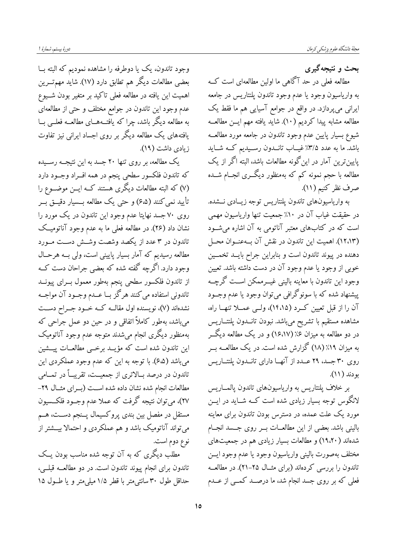دورهٔ بیستم، شمارهٔ ا

بحث و نتیجهگیری

مطالعه فعلی در حد آگاهی ما اولین مطالعهای است کــه به واریاسیون وجود یا عدم وجود تاندون پلنتاریس در جامعه ایرانی میپردازد. در واقع در جوامع آسیایی هم ما فقط یک مطالعه مشابه پیدا کردیم (۱۰). شاید یافته مهم ایــن مطالعــه شيوع بسيار پايين عدم وجود تاندون در جامعه مورد مطالعــه باشد. ما به عدد ۳/۵٪ غیــاب تانــدون رســیدیم کــه شــاید پایین ترین آمار در این گونه مطالعات باشد، البته اگر از یک مطالعه با حجم نمونه کم که بهمنظور دیگـــری انجـــام شـــده صرف نظر كنيم (١١).

به واریاسیونهای تاندون پلنتاریس توجه زیـادی نــشده. در حقیقت غیاب آن در ۱۰٪ جمعیت تنها واریاسیون مهمی است که در کتابهای معتبر آناتومی به آن اشاره می شود (١٢،١٣). اهميت اين تاندون در نقش آن بــهعنــوان محــل دهنده در پیوند تاندون است و بنابراین جراح بایــد تخمـــین خوبی از وجود یا عدم وجود آن در دست داشته باشد. تعیین وجود این تاندون با معاینه بالینی غیـــرممکن اســت گرچــه پیشنهاد شده که با سونوگرافی می توان وجود یا عدم وجــود آن را از قبل تعیین کـرد (۱۴،۱۵)، ولـی عمــلا تنهــا راه، مشاهده مستقيم با تشريح مىباشد. نبودن تانــدون پلنتــاريس در دو مطالعه به میزان ۶٪(۱۶،۱۷) و در یک مطالعه دیگــر به میزان ۱۹٪ (۱۸) گزارش شده است. در یک مطالعــه بــر روی ۳۰ جسد، ۲۹ عـدد از آنهـا دارای تانـدون پلنتـاریس بودند (١١).

بر خلاف پلنتاريس به وارياسيونهاي تاندون پالمـاريس لانگوس توجه بسیار زیادی شده است کــه شــاید در ایـــن مورد یک علت عمده، در دسترس بودن تاندون برای معاینه بالینی باشد. بعضی از این مطالعــات بــر روی جــسد انجــام شدهاند (۱۹،۲۰) و مطالعات بسیار زیادی هم در جمعیتهای مختلف بهصورت بالينى وارياسيون وجود يا عدم وجود ايس تاندون را بررسی کردهاند (برای مثـال ۲۵–۲۱). در مطالعــه فعلی که بر روی جسد انجام شد، ما درصـد کمـی از عــدم

وجود تاندون، یک یا دوطرفه را مشاهده نمودیم که البته ب بعضی مطالعات دیگر هم تطابق دارد (۱۷). شاید مهم تـــرین اهمیت این یافته در مطالعه فعلی تاکید بر متغیر بودن شــیوع عدم وجود این تاندون در جوامع مختلف و حتی از مطالعهای به مطالعه دیگر باشد، چرا که یافتــههــای مطالعــه فعلــی بــا یافتههای یک مطالعه دیگر بر روی اجساد ایرانی نیز تفاوت زیادی داشت (۱۹).

یک مطالعه، بر روی تنها ۲۰ جسد به این نتیجــه رســیده که تاندون فلکسور سطحی پنجم در همه افــراد وجــود دارد (۷) که البته مطالعات دیگری هستند کــه ایــن موضــوع را تأييد نمي كنند (۶٬۵) و حتى يک مطالعه بــسيار دقيــق بــر روی ۷۰ جسد نهایتا عدم وجود این تاندون در یک مورد را نشان داد (۲۶). در مطالعه فعلم ما به عدم وجود آناتومیــک تاندون در ۳ عدد از یکصد وشصت وشش دست مورد مطالعه رسیدیم که آمار بسیار پایینی است، ولی بــه هرحـال وجود دارد. اگرچه گفته شده که بعضی جراحان دست کــه از تاندون فلكسور سطحي پنجم بهطور معمول بــراي پيونــد تاندوني استفاده مي كنند هرگز بــا عـــدم وجــود آن مواجــه نشدهاند (۷)، نویسنده اول مقالـه کـه خـود جـراح دســت میباشد، بهطور کاملاً اتفاقی و در حین دو عمل جراحی که بهمنظور دیگری انجام میشدند متوجه عدم وجود آناتومیک این تاندون شده است که مؤیــد برخــی مطالعــات پیــشین میباشد (۶٬۵). با توجه به این که عدم وجود عملکردی این تاندون در درصد بــالاترى از جمعيــت، تقريبــاً در تمــامى مطالعات انجام شده نشان داده شده اسـت (بـراى مثـال ٢٩-٢٧)، میتوان نتیجه گرفت که عملا عدم وجــود فلکـــسیون مستقل در مفصل بین بندی پروکسیمال پــنجم دســت، هــم میتواند آناتومیک باشد و هم عملکردی و احتمالا بیــشتر از نوع دوم است.

مطلب دیگری که به آن توجه شده مناسب بودن یــک تاندون برای انجام پیوند تاندون است. در دو مطالعــه قبلــی، حداقل طول ۳۰ سانتی متر با قطر ۱/۵ میلی متر و یا طــول ۱۵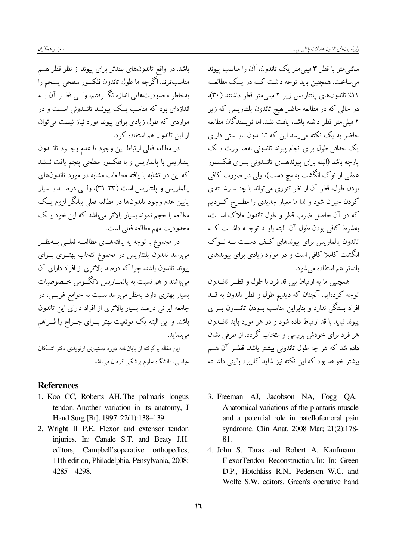سانتی متر با قطر ۳ میلی متر یک تاندون، آن را مناسب پیوند می ساخت. همچنین باید توجه داشت کــه در یــک مطالعــه ٬۱۱٪ تاندونهای پلنتاریس زیر ۲ میلی متر قطر داشتند (۳۰)، در حالی که در مطالعه حاضر هیچ تاندون یلنتاریسی که زیر ۲ میلی،متر قطر داشته باشد، یافت نشد. اما نویسندگان مطالعه حاضر به یک نکته می رسد این که تانــدون بایــستی دارای یک حداقل طول برای انجام پیوند تاندونی بهصـورت یــک یارچه باشد (البته برای پیوندهــای تانــدونی بــرای فلکــسور عمقی از نوک انگشت به مچ دست)، ولی در صورت کافی بودن طول، قطر آن از نظر تئوري مي تواند با چنــد رشــتهاي کردن جبران شود و لذا ما معیار جدیدی را مطــرح کــردیم که در آن حاصل ضرب قطر و طول تاندون ملاک است، بهشرط كافي بودن طول آن البته بايــد توجــه داشــت كــه تاندون یالماریس برای پیوندهای کف دست بــه نــوک انگشت کاملا کافی است و در موارد زیادی برای پیوندهای بلندتر هم استفاده می شود.

همچنین ما به ارتباط بین قد فرد با طول و قطــر تانــدون توجه کردهایم. آنچنان که دیدیم طول و قطر تاندون به قــد افراد بستگی ندارد و بنابراین مناسب بــودن تانـــدون بــرای پیوند نباید با قد ارتباط داده شود و در هر مورد باید تانــدون هر فرد برای خودش بررسی و انتخاب گردد. از طرفی نشان داده شد که هر چه طول تاندونی بیشتر باشد، قطــر آن هــم بیشتر خواهد بود که این نکته نیز شاید کاربرد بالینی داشته

- 3. Freeman AJ, Jacobson NA, Fogg QA. Anatomical variations of the plantaris muscle and a potential role in patellofemoral pain syndrome. Clin Anat. 2008 Mar; 21(2):178-81.
- 4. John S. Taras and Robert A. Kaufmann. FlexorTendon Reconstruction. In: In: Green D.P., Hotchkiss R.N., Pederson W.C. and Wolfe S.W. editors. Green's operative hand

باشد. در واقع تاندونهای بلندتر برای پیوند از نظر قطر هم مناسب ترند. اگرچه ما طول تاندون فلکسور سطحی پــنجم را بهخاطر محدوديتهايي اندازه نگــرفتيم، ولــي قطــر آن بــه .<br>اندازهای بود که مناسب یــک پیونــد تانــدون<sub>ه،</sub> اســت و در مواردی که طول زیادی برای پیوند مورد نیاز نیست می توان از این تاندون هم استفاده کرد.

در مطالعه فعلى ارتباط بين وجود يا عدم وجــود تانـــدون يلنتاريس با يالماريس و با فلكسور سطحي ينجم يافت نــشد که این در تشابه با یافته مطالعات مشابه در مورد تاندونهای یالماریس و یلنتاریس است (۳۳–۳۱)، ولـبی درصــد بــسیار پایین عدم وجود تاندونها در مطالعه فعلی بیانگر لزوم یــک مطالعه با حجم نمونه بسیار بالاتر میباشد که این خود یــک محدوديت مهم مطالعه فعلى است.

در مجموع با توجه يه يافتههــاى مطالعــه فعلــى بــهنظــر میرسد تاندون پلنتاریس در مجموع انتخاب بهتــری بــرای پیوند تاندون باشد، چرا که درصد بالاتری از افراد دارای آن میباشند و هم نسبت به پالمــاریس لانگــوس خــصوصیات بسیار بهتری دارد. بهنظر می رسد نسبت به جوامع غربسی، در جامعه ایرانی درصد بسیار بالاتری از افراد دارای این تاندون باشند و این البته یک موقعیت بهتر بــرای جــراح را فــراهم مے نماید. این مقاله برگرفته از پایاننامه دوره دستیاری ارتوپدی دکتر اشکان

عباسی، دانشگاه علوم پزشکی کرمان می باشد.

#### **References**

- 1. Koo CC, Roberts AH. The palmaris longus tendon. Another variation in its anatomy, J Hand Surg [Br], 1997, 22(1):138-139.
- 2. Wright II P.E. Flexor and extensor tendon injuries. In: Canale S.T. and Beaty J.H. Campbell'soperative orthopedics, editors. 11th edition, Philadelphia, Pensylvania, 2008:  $4285 - 4298.$

 $17$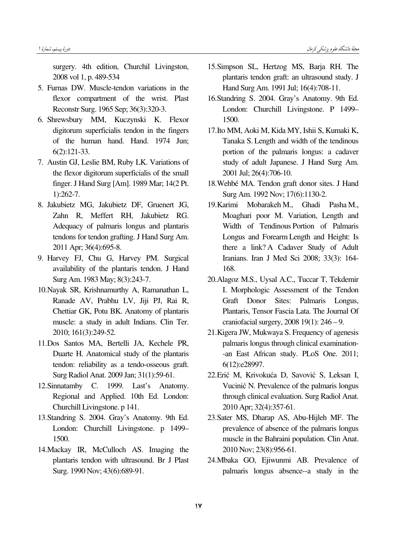surgery. 4th edition, Churchil Livingston, 2008 vol 1, p. 489-534

- 5. Furnas DW. Muscle-tendon variations in the flexor compartment of the wrist. Plast Reconstr Surg. 1965 Sep; 36(3):320-3.
- 6. Shrewsbury MM, Kuczynski K. Flexor digitorum superficialis tendon in the fingers of the human hand. Hand. 1974 Jun; 6(2):121-33.
- 7. Austin GJ, Leslie BM, Ruby LK. Variations of the flexor digitorum superficialis of the small finger. J Hand Surg [Am]. 1989 Mar; 14(2 Pt. 1):262-7.
- 8. Jakubietz MG, Jakubietz DF, Gruenert JG, Zahn R, Meffert RH, Jakubietz RG. Adequacy of palmaris longus and plantaris tendons for tendon grafting. J Hand Surg Am. 2011 Apr; 36(4):695-8.
- 9. Harvey FJ, Chu G, Harvey PM. Surgical availability of the plantaris tendon. J Hand Surg Am. 1983 May; 8(3):243-7.
- 10.Nayak SR, Krishnamurthy A, Ramanathan L, Ranade AV, Prabhu LV, Jiji PJ, Rai R, Chettiar GK, Potu BK. Anatomy of plantaris muscle: a study in adult Indians. Clin Ter. 2010; 161(3):249-52.
- 11.Dos Santos MA, Bertelli JA, Kechele PR, Duarte H. Anatomical study of the plantaris tendon: reliability as a tendo-osseous graft. Surg Radiol Anat. 2009 Jan; 31(1):59-61.
- 12.Sinnatamby C. 1999. Last's Anatomy. Regional and Applied. 10th Ed. London: Churchill Livingstone. p 141.
- 13.Standring S. 2004. Gray's Anatomy. 9th Ed. London: Churchill Livingstone. p 1499– 1500.
- 14.Mackay IR, McCulloch AS. Imaging the plantaris tendon with ultrasound. Br J Plast Surg. 1990 Nov; 43(6):689-91.
- 15.Simpson SL, Hertzog MS, Barja RH. The plantaris tendon graft: an ultrasound study. J Hand Surg Am. 1991 Jul; 16(4):708-11.
- 16.Standring S. 2004. Gray's Anatomy. 9th Ed. London: Churchill Livingstone. P 1499– 1500.
- 17.Ito MM, Aoki M, Kida MY, Ishii S, Kumaki K, Tanaka S. Length and width of the tendinous portion of the palmaris longus: a cadaver study of adult Japanese. J Hand Surg Am. 2001 Jul; 26(4):706-10.
- 18.Wehbé MA. Tendon graft donor sites. J Hand Surg Am. 1992 Nov; 17(6):1130-2.
- 19.Karimi Mobarakeh M., Ghadi Pasha M. Moaghari poor M. Variation, Length and Width of Tendinous Portion of Palmaris Longus and Forearm Length and Height: Is there a link? A Cadaver Study of Adult Iranians. Iran J Med Sci 2008; 33(3): 164- 168.
- 20.Alagoz M.S., Uysal A.C., Tuccar T, Tekdemir I. Morphologic Assessment of the Tendon Graft Donor Sites: Palmaris Longus, Plantaris, Tensor Fascia Lata. The Journal Of craniofacial surgery, 2008 19(1): 246 – 9.
- 21.Kigera JW, Mukwaya S. Frequency of agenesis palmaris longus through clinical examination- -an East African study. PLoS One. 2011; 6(12):e28997.
- 22. Erić M, Krivokuća D, Savović S, Leksan I, Vucinić N. Prevalence of the palmaris longus through clinical evaluation. Surg Radiol Anat. 2010 Apr; 32(4):357-61.
- 23.Sater MS, Dharap AS, Abu-Hijleh MF. The prevalence of absence of the palmaris longus muscle in the Bahraini population. Clin Anat. 2010 Nov; 23(8):956-61.
- 24.Mbaka GO, Ejiwunmi AB. Prevalence of palmaris longus absence--a study in the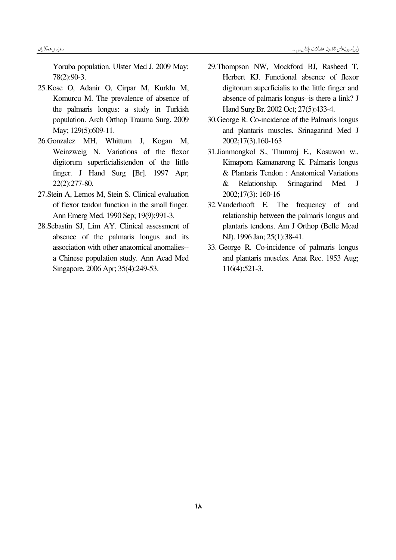Yoruba population. Ulster Med J. 2009 May; 78(2):90-3.

- 25.Kose O, Adanir O, Cirpar M, Kurklu M, Komurcu M. The prevalence of absence of the palmaris longus: a study in Turkish population. Arch Orthop Trauma Surg. 2009 May; 129(5):609-11.
- 26.Gonzalez MH, Whittum J, Kogan M, Weinzweig N. Variations of the flexor digitorum superficialistendon of the little finger. J Hand Surg [Br]. 1997 Apr; 22(2):277-80.
- 27.Stein A, Lemos M, Stein S. Clinical evaluation of flexor tendon function in the small finger. Ann Emerg Med. 1990 Sep; 19(9):991-3.
- 28.Sebastin SJ, Lim AY. Clinical assessment of absence of the palmaris longus and its association with other anatomical anomalies- a Chinese population study. Ann Acad Med Singapore. 2006 Apr; 35(4):249-53.
- 29.Thompson NW, Mockford BJ, Rasheed T, Herbert KJ. Functional absence of flexor digitorum superficialis to the little finger and absence of palmaris longus--is there a link? J Hand Surg Br. 2002 Oct; 27(5):433-4.
- 30.George R. Co-incidence of the Palmaris longus and plantaris muscles. Srinagarind Med J 2002;17(3).160-163
- 31.Jianmongkol S., Thumroj E., Kosuwon w., Kimaporn Kamanarong K. Palmaris longus & Plantaris Tendon : Anatomical Variations & Relationship. Srinagarind Med J 2002;17(3): 160-16
- 32.Vanderhooft E. The frequency of and relationship between the palmaris longus and plantaris tendons. Am J Orthop (Belle Mead NJ). 1996 Jan; 25(1):38-41.
- 33. George R. Co-incidence of palmaris longus and plantaris muscles. Anat Rec. 1953 Aug; 116(4):521-3.